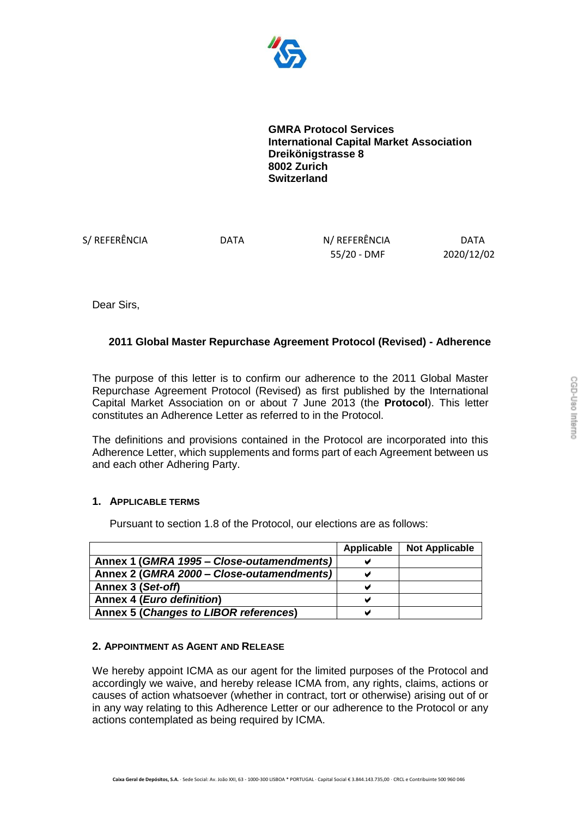

**GMRA Protocol Services International Capital Market Association Dreikönigstrasse 8 8002 Zurich Switzerland** 

S/ REFERÊNCIA DATA N/ REFERÊNCIA DATA

55/20 - DMF 2020/12/02

Dear Sirs,

## **2011 Global Master Repurchase Agreement Protocol (Revised) - Adherence**

The purpose of this letter is to confirm our adherence to the 2011 Global Master Repurchase Agreement Protocol (Revised) as first published by the International Capital Market Association on or about 7 June 2013 (the **Protocol**). This letter constitutes an Adherence Letter as referred to in the Protocol.

The definitions and provisions contained in the Protocol are incorporated into this Adherence Letter, which supplements and forms part of each Agreement between us and each other Adhering Party.

## **1. APPLICABLE TERMS**

Pursuant to section 1.8 of the Protocol, our elections are as follows:

|                                           | Applicable | <b>Not Applicable</b> |
|-------------------------------------------|------------|-----------------------|
| Annex 1 (GMRA 1995 – Close-outamendments) |            |                       |
| Annex 2 (GMRA 2000 - Close-outamendments) |            |                       |
| Annex 3 (Set-off)                         |            |                       |
| Annex 4 ( <i>Euro definition</i> )        |            |                       |
| Annex 5 (Changes to LIBOR references)     |            |                       |

## **2. APPOINTMENT AS AGENT AND RELEASE**

We hereby appoint ICMA as our agent for the limited purposes of the Protocol and accordingly we waive, and hereby release ICMA from, any rights, claims, actions or causes of action whatsoever (whether in contract, tort or otherwise) arising out of or in any way relating to this Adherence Letter or our adherence to the Protocol or any actions contemplated as being required by ICMA.